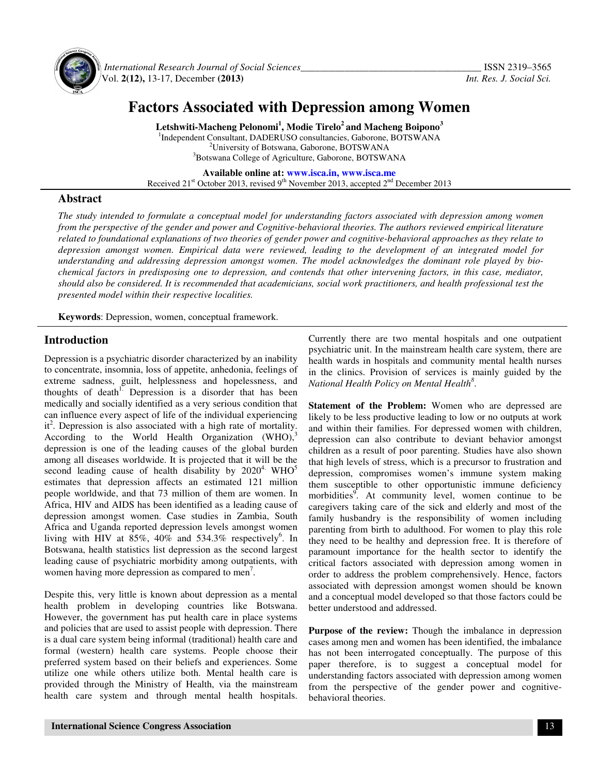

 *International Research Journal of Social Sciences\_\_\_\_\_\_\_\_\_\_\_\_\_\_\_\_\_\_\_\_\_\_\_\_\_\_\_\_\_\_\_\_\_\_\_\_\_* ISSN 2319–3565 Vol. **2(12),** 13-17, December **(2013)** *Int. Res. J. Social Sci.*

# **Factors Associated with Depression among Women**

**Letshwiti-Macheng Pelonomi<sup>1</sup> , Modie Tirelo<sup>2</sup>and Macheng Boipono<sup>3</sup>** <sup>1</sup>Independent Consultant, DADERUSO consultancies, Gaborone, BOTSWANA <sup>2</sup>University of Botswana, Gaborone, BOTSWANA <sup>3</sup>Botswana College of Agriculture, Gaborone, BOTSWANA

**Available online at: www.isca.in, www.isca.me** Received  $21<sup>st</sup>$  October 2013, revised  $9<sup>th</sup>$  November 2013, accepted  $2<sup>nd</sup>$  December 2013

## **Abstract**

*The study intended to formulate a conceptual model for understanding factors associated with depression among women from the perspective of the gender and power and Cognitive-behavioral theories. The authors reviewed empirical literature related to foundational explanations of two theories of gender power and cognitive-behavioral approaches as they relate to depression amongst women. Empirical data were reviewed, leading to the development of an integrated model for understanding and addressing depression amongst women. The model acknowledges the dominant role played by biochemical factors in predisposing one to depression, and contends that other intervening factors, in this case, mediator, should also be considered. It is recommended that academicians, social work practitioners, and health professional test the presented model within their respective localities.*

**Keywords**: Depression, women, conceptual framework.

## **Introduction**

Depression is a psychiatric disorder characterized by an inability to concentrate, insomnia, loss of appetite, anhedonia, feelings of extreme sadness, guilt, helplessness and hopelessness, and thoughts of death<sup>1.</sup> Depression is a disorder that has been medically and socially identified as a very serious condition that can influence every aspect of life of the individual experiencing it<sup>2</sup>. Depression is also associated with a high rate of mortality. According to the World Health Organization  $(WHO)$ , depression is one of the leading causes of the global burden among all diseases worldwide. It is projected that it will be the second leading cause of health disability by  $2020^4$ . WHO<sup>5</sup> estimates that depression affects an estimated 121 million people worldwide, and that 73 million of them are women. In Africa, HIV and AIDS has been identified as a leading cause of depression amongst women. Case studies in Zambia, South Africa and Uganda reported depression levels amongst women living with HIV at  $85\%$ ,  $40\%$  and  $534.3\%$  respectively<sup>6</sup>. In Botswana, health statistics list depression as the second largest leading cause of psychiatric morbidity among outpatients, with women having more depression as compared to men<sup>7</sup>.

Despite this, very little is known about depression as a mental health problem in developing countries like Botswana. However, the government has put health care in place systems and policies that are used to assist people with depression. There is a dual care system being informal (traditional) health care and formal (western) health care systems. People choose their preferred system based on their beliefs and experiences. Some utilize one while others utilize both. Mental health care is provided through the Ministry of Health, via the mainstream health care system and through mental health hospitals. Currently there are two mental hospitals and one outpatient psychiatric unit. In the mainstream health care system, there are health wards in hospitals and community mental health nurses in the clinics. Provision of services is mainly guided by the *National Health Policy on Mental Health<sup>8</sup>* .

**Statement of the Problem:** Women who are depressed are likely to be less productive leading to low or no outputs at work and within their families. For depressed women with children, depression can also contribute to deviant behavior amongst children as a result of poor parenting. Studies have also shown that high levels of stress, which is a precursor to frustration and depression, compromises women's immune system making them susceptible to other opportunistic immune deficiency morbidities<sup>9</sup>. At community level, women continue to be caregivers taking care of the sick and elderly and most of the family husbandry is the responsibility of women including parenting from birth to adulthood. For women to play this role they need to be healthy and depression free. It is therefore of paramount importance for the health sector to identify the critical factors associated with depression among women in order to address the problem comprehensively. Hence, factors associated with depression amongst women should be known and a conceptual model developed so that those factors could be better understood and addressed.

**Purpose of the review:** Though the imbalance in depression cases among men and women has been identified, the imbalance has not been interrogated conceptually. The purpose of this paper therefore, is to suggest a conceptual model for understanding factors associated with depression among women from the perspective of the gender power and cognitivebehavioral theories.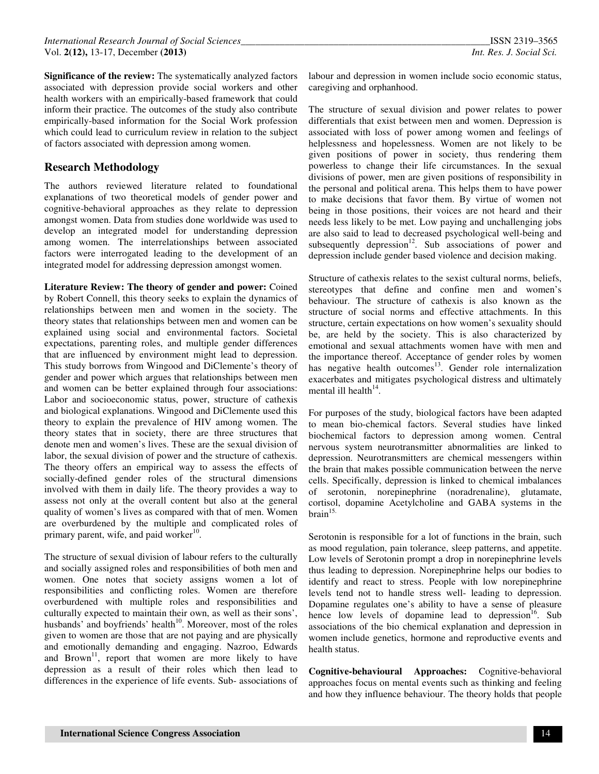**Significance of the review:** The systematically analyzed factors associated with depression provide social workers and other health workers with an empirically-based framework that could inform their practice. The outcomes of the study also contribute empirically-based information for the Social Work profession which could lead to curriculum review in relation to the subject of factors associated with depression among women.

# **Research Methodology**

The authors reviewed literature related to foundational explanations of two theoretical models of gender power and cognitive-behavioral approaches as they relate to depression amongst women. Data from studies done worldwide was used to develop an integrated model for understanding depression among women. The interrelationships between associated factors were interrogated leading to the development of an integrated model for addressing depression amongst women.

**Literature Review: The theory of gender and power:** Coined by Robert Connell, this theory seeks to explain the dynamics of relationships between men and women in the society. The theory states that relationships between men and women can be explained using social and environmental factors. Societal expectations, parenting roles, and multiple gender differences that are influenced by environment might lead to depression. This study borrows from Wingood and DiClemente's theory of gender and power which argues that relationships between men and women can be better explained through four associations: Labor and socioeconomic status, power, structure of cathexis and biological explanations. Wingood and DiClemente used this theory to explain the prevalence of HIV among women. The theory states that in society, there are three structures that denote men and women's lives. These are the sexual division of labor, the sexual division of power and the structure of cathexis. The theory offers an empirical way to assess the effects of socially-defined gender roles of the structural dimensions involved with them in daily life. The theory provides a way to assess not only at the overall content but also at the general quality of women's lives as compared with that of men. Women are overburdened by the multiple and complicated roles of primary parent, wife, and paid worker<sup>10</sup>.

The structure of sexual division of labour refers to the culturally and socially assigned roles and responsibilities of both men and women. One notes that society assigns women a lot of responsibilities and conflicting roles. Women are therefore overburdened with multiple roles and responsibilities and culturally expected to maintain their own, as well as their sons', husbands' and boyfriends' health<sup>10</sup>. Moreover, most of the roles given to women are those that are not paying and are physically and emotionally demanding and engaging. Nazroo, Edwards and Brown<sup>11</sup>, report that women are more likely to have depression as a result of their roles which then lead to differences in the experience of life events. Sub- associations of

labour and depression in women include socio economic status, caregiving and orphanhood.

The structure of sexual division and power relates to power differentials that exist between men and women. Depression is associated with loss of power among women and feelings of helplessness and hopelessness. Women are not likely to be given positions of power in society, thus rendering them powerless to change their life circumstances. In the sexual divisions of power, men are given positions of responsibility in the personal and political arena. This helps them to have power to make decisions that favor them. By virtue of women not being in those positions, their voices are not heard and their needs less likely to be met. Low paying and unchallenging jobs are also said to lead to decreased psychological well-being and subsequently depression<sup>12</sup>. Sub associations of power and depression include gender based violence and decision making.

Structure of cathexis relates to the sexist cultural norms, beliefs, stereotypes that define and confine men and women's behaviour. The structure of cathexis is also known as the structure of social norms and effective attachments. In this structure, certain expectations on how women's sexuality should be, are held by the society. This is also characterized by emotional and sexual attachments women have with men and the importance thereof. Acceptance of gender roles by women has negative health outcomes<sup>13</sup>. Gender role internalization exacerbates and mitigates psychological distress and ultimately mental ill health<sup>14</sup>.

For purposes of the study, biological factors have been adapted to mean bio-chemical factors. Several studies have linked biochemical factors to depression among women. Central nervous system neurotransmitter abnormalities are linked to depression. Neurotransmitters are chemical messengers within the brain that makes possible communication between the nerve cells. Specifically, depression is linked to chemical imbalances of serotonin, norepinephrine (noradrenaline), glutamate, cortisol, dopamine Acetylcholine and GABA systems in the  $brain$ <sup>15.</sup>

Serotonin is responsible for a lot of functions in the brain, such as mood regulation, pain tolerance, sleep patterns, and appetite. Low levels of Serotonin prompt a drop in norepinephrine levels thus leading to depression. Norepinephrine helps our bodies to identify and react to stress. People with low norepinephrine levels tend not to handle stress well- leading to depression. Dopamine regulates one's ability to have a sense of pleasure hence low levels of dopamine lead to depression<sup>16</sup>. Sub associations of the bio chemical explanation and depression in women include genetics, hormone and reproductive events and health status.

**Cognitive-behavioural Approaches:** Cognitive-behavioral approaches focus on mental events such as thinking and feeling and how they influence behaviour. The theory holds that people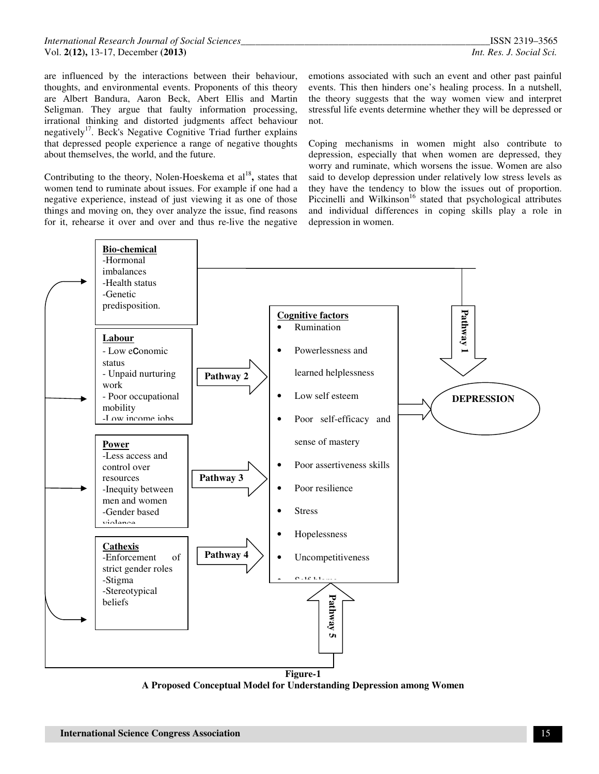are influenced by the interactions between their behaviour, thoughts, and environmental events. Proponents of this theory are Albert Bandura, Aaron Beck, Abert Ellis and Martin Seligman. They argue that faulty information processing, irrational thinking and distorted judgments affect behaviour negatively<sup>17</sup>. Beck's Negative Cognitive Triad further explains that depressed people experience a range of negative thoughts about themselves, the world, and the future.

Contributing to the theory, Nolen-Hoeskema et al<sup>18</sup>, states that women tend to ruminate about issues. For example if one had a negative experience, instead of just viewing it as one of those things and moving on, they over analyze the issue, find reasons for it, rehearse it over and over and thus re-live the negative

emotions associated with such an event and other past painful events. This then hinders one's healing process. In a nutshell, the theory suggests that the way women view and interpret stressful life events determine whether they will be depressed or not.

Coping mechanisms in women might also contribute to depression, especially that when women are depressed, they worry and ruminate, which worsens the issue. Women are also said to develop depression under relatively low stress levels as they have the tendency to blow the issues out of proportion. Piccinelli and Wilkinson<sup>16</sup> stated that psychological attributes and individual differences in coping skills play a role in depression in women.



**A Proposed Conceptual Model for Understanding Depression among Women**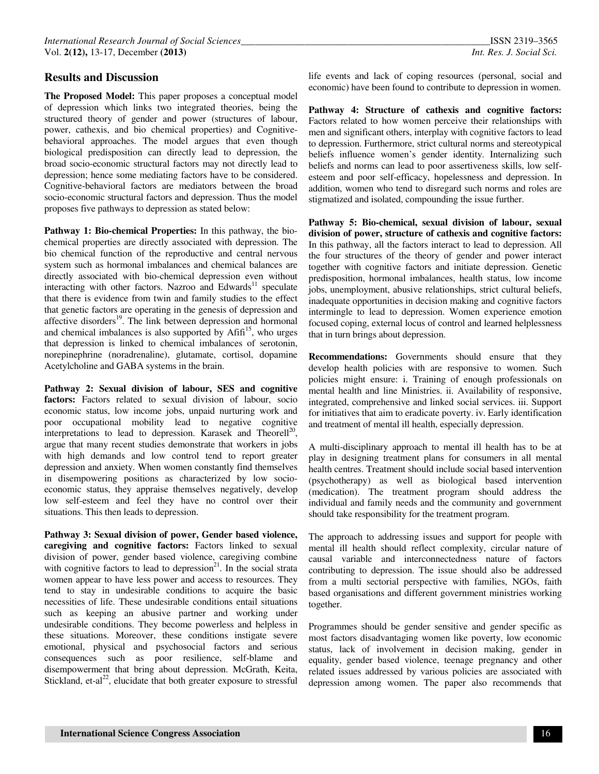#### **Results and Discussion**

**The Proposed Model:** This paper proposes a conceptual model of depression which links two integrated theories, being the structured theory of gender and power (structures of labour, power, cathexis, and bio chemical properties) and Cognitivebehavioral approaches. The model argues that even though biological predisposition can directly lead to depression, the broad socio-economic structural factors may not directly lead to depression; hence some mediating factors have to be considered. Cognitive-behavioral factors are mediators between the broad socio-economic structural factors and depression. Thus the model proposes five pathways to depression as stated below:

**Pathway 1: Bio-chemical Properties:** In this pathway, the biochemical properties are directly associated with depression. The bio chemical function of the reproductive and central nervous system such as hormonal imbalances and chemical balances are directly associated with bio-chemical depression even without interacting with other factors. Nazroo and Edwards<sup>11</sup> speculate that there is evidence from twin and family studies to the effect that genetic factors are operating in the genesis of depression and affective disorders $^{19}$ . The link between depression and hormonal and chemical imbalances is also supported by  $Affi<sup>15</sup>$ , who urges that depression is linked to chemical imbalances of serotonin, norepinephrine (noradrenaline), glutamate, cortisol, dopamine Acetylcholine and GABA systems in the brain.

**Pathway 2: Sexual division of labour, SES and cognitive**  factors: Factors related to sexual division of labour, socio economic status, low income jobs, unpaid nurturing work and poor occupational mobility lead to negative cognitive interpretations to lead to depression. Karasek and Theorell<sup>20</sup>, argue that many recent studies demonstrate that workers in jobs with high demands and low control tend to report greater depression and anxiety. When women constantly find themselves in disempowering positions as characterized by low socioeconomic status, they appraise themselves negatively, develop low self-esteem and feel they have no control over their situations. This then leads to depression.

**Pathway 3: Sexual division of power, Gender based violence, caregiving and cognitive factors:** Factors linked to sexual division of power, gender based violence, caregiving combine with cognitive factors to lead to depression<sup>21</sup>. In the social strata women appear to have less power and access to resources. They tend to stay in undesirable conditions to acquire the basic necessities of life. These undesirable conditions entail situations such as keeping an abusive partner and working under undesirable conditions. They become powerless and helpless in these situations. Moreover, these conditions instigate severe emotional, physical and psychosocial factors and serious consequences such as poor resilience, self-blame and disempowerment that bring about depression. McGrath, Keita, Stickland, et-al<sup>22</sup>, elucidate that both greater exposure to stressful life events and lack of coping resources (personal, social and economic) have been found to contribute to depression in women.

**Pathway 4: Structure of cathexis and cognitive factors:**  Factors related to how women perceive their relationships with men and significant others, interplay with cognitive factors to lead to depression. Furthermore, strict cultural norms and stereotypical beliefs influence women's gender identity. Internalizing such beliefs and norms can lead to poor assertiveness skills, low selfesteem and poor self-efficacy, hopelessness and depression. In addition, women who tend to disregard such norms and roles are stigmatized and isolated, compounding the issue further.

**Pathway 5: Bio-chemical, sexual division of labour, sexual division of power, structure of cathexis and cognitive factors:**  In this pathway, all the factors interact to lead to depression. All the four structures of the theory of gender and power interact together with cognitive factors and initiate depression. Genetic predisposition, hormonal imbalances, health status, low income jobs, unemployment, abusive relationships, strict cultural beliefs, inadequate opportunities in decision making and cognitive factors intermingle to lead to depression. Women experience emotion focused coping, external locus of control and learned helplessness that in turn brings about depression.

**Recommendations:** Governments should ensure that they develop health policies with are responsive to women. Such policies might ensure: i. Training of enough professionals on mental health and line Ministries. ii. Availability of responsive, integrated, comprehensive and linked social services. iii. Support for initiatives that aim to eradicate poverty. iv. Early identification and treatment of mental ill health, especially depression.

A multi-disciplinary approach to mental ill health has to be at play in designing treatment plans for consumers in all mental health centres. Treatment should include social based intervention (psychotherapy) as well as biological based intervention (medication). The treatment program should address the individual and family needs and the community and government should take responsibility for the treatment program.

The approach to addressing issues and support for people with mental ill health should reflect complexity, circular nature of causal variable and interconnectedness nature of factors contributing to depression. The issue should also be addressed from a multi sectorial perspective with families, NGOs, faith based organisations and different government ministries working together.

Programmes should be gender sensitive and gender specific as most factors disadvantaging women like poverty, low economic status, lack of involvement in decision making, gender in equality, gender based violence, teenage pregnancy and other related issues addressed by various policies are associated with depression among women. The paper also recommends that